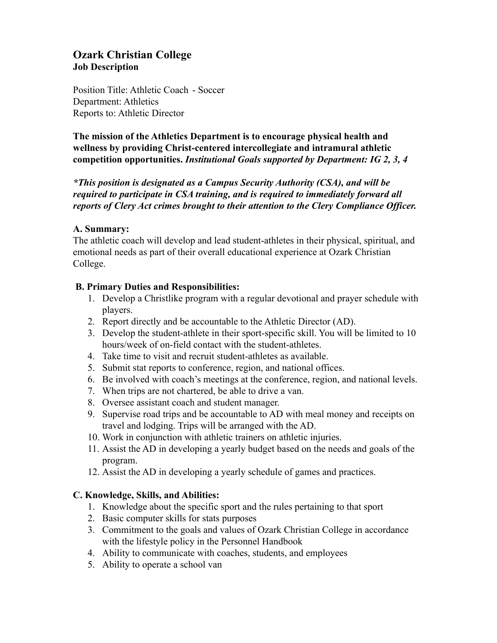# **Ozark Christian College Job Description**

Position Title: Athletic Coach - Soccer Department: Athletics Reports to: Athletic Director

**The mission of the Athletics Department is to encourage physical health and wellness by providing Christ-centered intercollegiate and intramural athletic competition opportunities.** *Institutional Goals supported by Department: IG 2, 3, 4*

*\*This position is designated as a Campus Security Authority (CSA), and will be required to participate in CSA training, and is required to immediately forward all reports of Clery Act crimes brought to their attention to the Clery Compliance Officer.*

### **A. Summary:**

The athletic coach will develop and lead student-athletes in their physical, spiritual, and emotional needs as part of their overall educational experience at Ozark Christian College.

### **B. Primary Duties and Responsibilities:**

- 1. Develop a Christlike program with a regular devotional and prayer schedule with players.
- 2. Report directly and be accountable to the Athletic Director (AD).
- 3. Develop the student-athlete in their sport-specific skill. You will be limited to 10 hours/week of on-field contact with the student-athletes.
- 4. Take time to visit and recruit student-athletes as available.
- 5. Submit stat reports to conference, region, and national offices.
- 6. Be involved with coach's meetings at the conference, region, and national levels.
- 7. When trips are not chartered, be able to drive a van.
- 8. Oversee assistant coach and student manager.
- 9. Supervise road trips and be accountable to AD with meal money and receipts on travel and lodging. Trips will be arranged with the AD.
- 10. Work in conjunction with athletic trainers on athletic injuries.
- 11. Assist the AD in developing a yearly budget based on the needs and goals of the program.
- 12. Assist the AD in developing a yearly schedule of games and practices.

### **C. Knowledge, Skills, and Abilities:**

- 1. Knowledge about the specific sport and the rules pertaining to that sport
- 2. Basic computer skills for stats purposes
- 3. Commitment to the goals and values of Ozark Christian College in accordance with the lifestyle policy in the Personnel Handbook
- 4. Ability to communicate with coaches, students, and employees
- 5. Ability to operate a school van